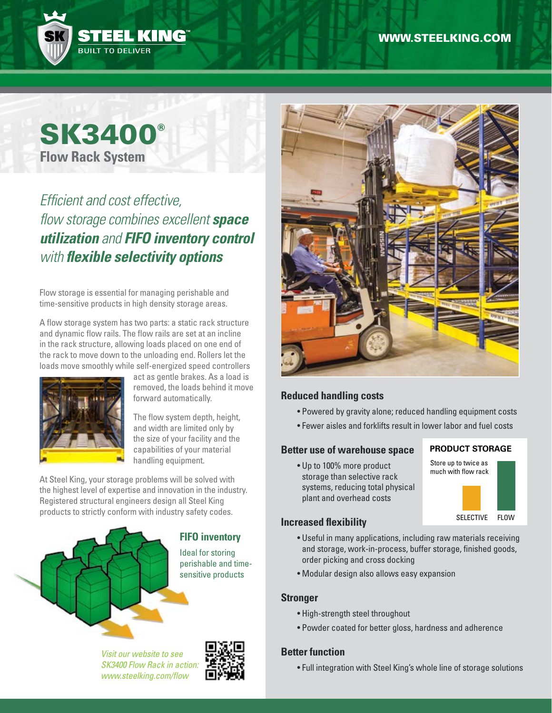

# **SK3400® Flow Rack System**

# *Efficient and cost effective, flow storage combines excellent space utilization and FIFO inventory control with flexible selectivity options*

Flow storage is essential for managing perishable and time-sensitive products in high density storage areas.

A flow storage system has two parts: a static rack structure and dynamic flow rails. The flow rails are set at an incline in the rack structure, allowing loads placed on one end of the rack to move down to the unloading end. Rollers let the loads move smoothly while self-energized speed controllers



act as gentle brakes. As a load is removed, the loads behind it move forward automatically.

The flow system depth, height, and width are limited only by the size of your facility and the capabilities of your material handling equipment.

At Steel King, your storage problems will be solved with the highest level of expertise and innovation in the industry. Registered structural engineers design all Steel King products to strictly conform with industry safety codes.



**FIFO inventory**

Ideal for storing perishable and timesensitive products





# **Reduced handling costs**

- Powered by gravity alone; reduced handling equipment costs
- Fewer aisles and forklifts result in lower labor and fuel costs

### **Better use of warehouse space**

• Up to 100% more product storage than selective rack systems, reducing total physical plant and overhead costs

#### **Increased flexibility**

- Useful in many applications, including raw materials receiving and storage, work-in-process, buffer storage, finished goods, order picking and cross docking
- Modular design also allows easy expansion

#### **Stronger**

- High-strength steel throughout
- Powder coated for better gloss, hardness and adherence

### **Better function**

• Full integration with Steel King's whole line of storage solutions

#### **PRODUCT STORAGE** Store up to twice as